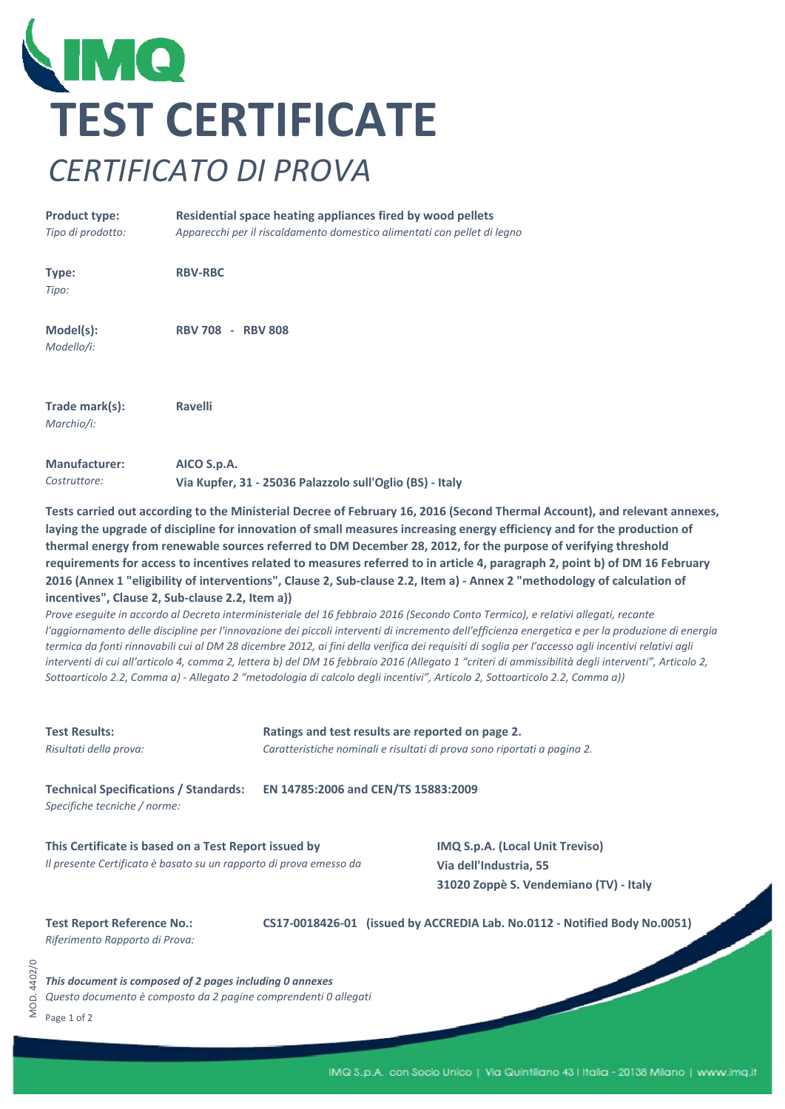

## **Product type:** *Tipo di prodotto: Apparecchi per il riscaldamento domestico alimentati con pellet di legno* **Residential space heating appliances fired by wood pellets**

| Type:<br>Tipo:               | <b>RBV-RBC</b>           |
|------------------------------|--------------------------|
| Model(s):<br>Modello/i:      | <b>RBV 708 - RBV 808</b> |
| Trade mark(s):<br>Marchio/i: | <b>Ravelli</b>           |
| <b>Manufacturer:</b>         | AICO S.p.A.              |

*Costruttore:* **Via Kupfer, 31 ‐ 25036 Palazzolo sull'Oglio (BS) ‐ Italy**

Tests carried out according to the Ministerial Decree of February 16, 2016 (Second Thermal Account), and relevant annexes, laying the upgrade of discipline for innovation of small measures increasing energy efficiency and for the production of thermal energy from renewable sources referred to DM December 28, 2012, for the purpose of verifying threshold requirements for access to incentives related to measures referred to in article 4, paragraph 2, point b) of DM 16 February 2016 (Annex 1 "eligibility of interventions", Clause 2, Sub-clause 2.2, Item a) - Annex 2 "methodology of calculation of **incentives", Clause 2, Sub‐clause 2.2, Item a))**

Prove eseguite in accordo al Decreto interministeriale del 16 febbraio 2016 (Secondo Conto Termico), e relativi allegati, recante l'aggiornamento delle discipline per l'innovazione dei piccoli interventi di incremento dell'efficienza energetica e per la produzione di energia termica da fonti rinnovabili cui al DM 28 dicembre 2012, ai fini della verifica dei requisiti di soglia per l'accesso agli incentivi relativi agli interventi di cui all'articolo 4, comma 2, lettera b) del DM 16 febbraio 2016 (Allegato 1 "criteri di ammissibilità degli interventi", Articolo 2, Sottoarticolo 2.2, Comma a) - Allegato 2 "metodologia di calcolo degli incentivi", Articolo 2, Sottoarticolo 2.2, Comma a))

| <b>Test Results:</b><br>Risultati della prova:                                                                              | Ratings and test results are reported on page 2.<br>Caratteristiche nominali e risultati di prova sono riportati a pagina 2. |                                                                                                            |  |  |
|-----------------------------------------------------------------------------------------------------------------------------|------------------------------------------------------------------------------------------------------------------------------|------------------------------------------------------------------------------------------------------------|--|--|
| <b>Technical Specifications / Standards:</b><br>Specifiche tecniche / norme:                                                | EN 14785:2006 and CEN/TS 15883:2009                                                                                          |                                                                                                            |  |  |
| This Certificate is based on a Test Report issued by<br>Il presente Certificato è basato su un rapporto di prova emesso da  |                                                                                                                              | <b>IMQ S.p.A. (Local Unit Treviso)</b><br>Via dell'Industria, 55<br>31020 Zoppè S. Vendemiano (TV) - Italy |  |  |
| <b>Test Report Reference No.:</b><br>Riferimento Rapporto di Prova:                                                         |                                                                                                                              | CS17-0018426-01 (issued by ACCREDIA Lab. No.0112 - Notified Body No.0051)                                  |  |  |
| This document is composed of 2 pages including 0 annexes<br>Questo documento è composto da 2 pagine comprendenti 0 allegati |                                                                                                                              |                                                                                                            |  |  |

Page 1 of 2

MOD. 4402/0

VIOD. 4402/0